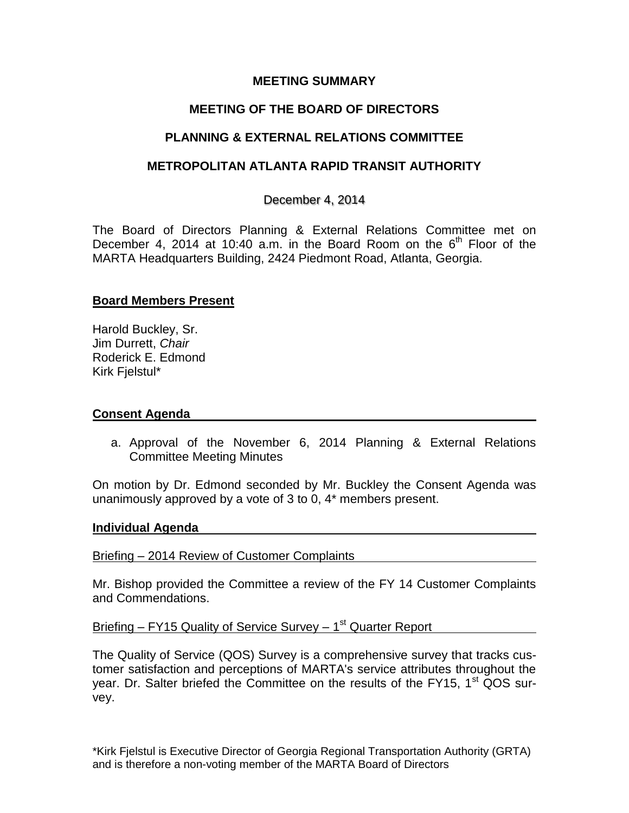### **MEETING SUMMARY**

# **MEETING OF THE BOARD OF DIRECTORS**

## **PLANNING & EXTERNAL RELATIONS COMMITTEE**

### **METROPOLITAN ATLANTA RAPID TRANSIT AUTHORITY**

### December 4, 2014

The Board of Directors Planning & External Relations Committee met on December 4, 2014 at 10:40 a.m. in the Board Room on the  $6<sup>th</sup>$  Floor of the MARTA Headquarters Building, 2424 Piedmont Road, Atlanta, Georgia.

#### **Board Members Present**

Harold Buckley, Sr. Jim Durrett, *Chair* Roderick E. Edmond Kirk Fjelstul\*

#### **Consent Agenda**

a. Approval of the November 6, 2014 Planning & External Relations Committee Meeting Minutes

On motion by Dr. Edmond seconded by Mr. Buckley the Consent Agenda was unanimously approved by a vote of 3 to 0, 4\* members present.

#### **Individual Agenda**

Briefing – 2014 Review of Customer Complaints

Mr. Bishop provided the Committee a review of the FY 14 Customer Complaints and Commendations.

Briefing – FY15 Quality of Service Survey – 1<sup>st</sup> Quarter Report

The Quality of Service (QOS) Survey is a comprehensive survey that tracks customer satisfaction and perceptions of MARTA's service attributes throughout the year. Dr. Salter briefed the Committee on the results of the FY15,  $1<sup>st</sup> QOS$  survey.

\*Kirk Fjelstul is Executive Director of Georgia Regional Transportation Authority (GRTA) and is therefore a non-voting member of the MARTA Board of Directors